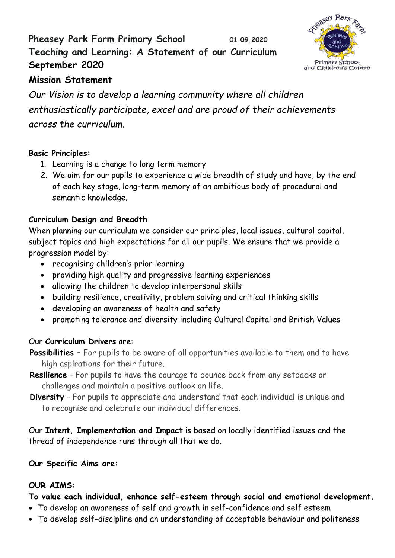# **Pheasey Park Farm Primary School 01.09.2020 Teaching and Learning: A Statement of our Curriculum September 2020**



# **Mission Statement**

*Our Vision is to develop a learning community where all children enthusiastically participate, excel and are proud of their achievements across the curriculum.*

## **Basic Principles:**

- 1. Learning is a change to long term memory
- 2. We aim for our pupils to experience a wide breadth of study and have, by the end of each key stage, long-term memory of an ambitious body of procedural and semantic knowledge.

## **Curriculum Design and Breadth**

When planning our curriculum we consider our principles, local issues, cultural capital, subject topics and high expectations for all our pupils. We ensure that we provide a progression model by:

- recognising children's prior learning
- providing high quality and progressive learning experiences
- allowing the children to develop interpersonal skills
- building resilience, creativity, problem solving and critical thinking skills
- developing an awareness of health and safety
- promoting tolerance and diversity including Cultural Capital and British Values

## Our **Curriculum Drivers** are:

**Possibilities** – For pupils to be aware of all opportunities available to them and to have high aspirations for their future.

- **Resilience** For pupils to have the courage to bounce back from any setbacks or challenges and maintain a positive outlook on life.
- **Diversity** For pupils to appreciate and understand that each individual is unique and to recognise and celebrate our individual differences.

Our **Intent, Implementation and Impact** is based on locally identified issues and the thread of independence runs through all that we do.

## **Our Specific Aims are:**

## **OUR AIMS:**

**To value each individual, enhance self-esteem through social and emotional development.**

- To develop an awareness of self and growth in self-confidence and self esteem
- To develop self-discipline and an understanding of acceptable behaviour and politeness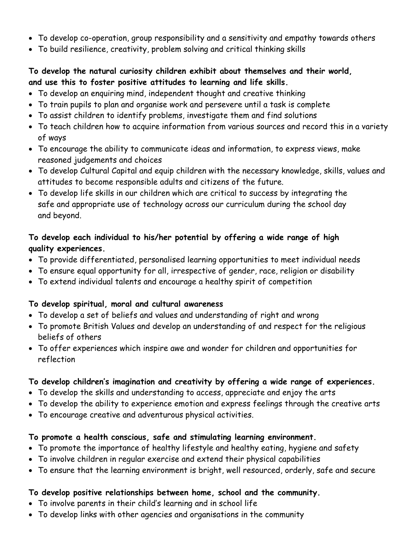- To develop co-operation, group responsibility and a sensitivity and empathy towards others
- To build resilience, creativity, problem solving and critical thinking skills

### **To develop the natural curiosity children exhibit about themselves and their world, and use this to foster positive attitudes to learning and life skills.**

- To develop an enquiring mind, independent thought and creative thinking
- To train pupils to plan and organise work and persevere until a task is complete
- To assist children to identify problems, investigate them and find solutions
- To teach children how to acquire information from various sources and record this in a variety of ways
- To encourage the ability to communicate ideas and information, to express views, make reasoned judgements and choices
- To develop Cultural Capital and equip children with the necessary knowledge, skills, values and attitudes to become responsible adults and citizens of the future.
- To develop life skills in our children which are critical to success by integrating the safe and appropriate use of technology across our curriculum during the school day and beyond.

## **To develop each individual to his/her potential by offering a wide range of high quality experiences.**

- To provide differentiated, personalised learning opportunities to meet individual needs
- To ensure equal opportunity for all, irrespective of gender, race, religion or disability
- To extend individual talents and encourage a healthy spirit of competition

## **To develop spiritual, moral and cultural awareness**

- To develop a set of beliefs and values and understanding of right and wrong
- To promote British Values and develop an understanding of and respect for the religious beliefs of others
- To offer experiences which inspire awe and wonder for children and opportunities for reflection

## **To develop children's imagination and creativity by offering a wide range of experiences.**

- To develop the skills and understanding to access, appreciate and enjoy the arts
- To develop the ability to experience emotion and express feelings through the creative arts
- To encourage creative and adventurous physical activities.

## **To promote a health conscious, safe and stimulating learning environment.**

- To promote the importance of healthy lifestyle and healthy eating, hygiene and safety
- To involve children in regular exercise and extend their physical capabilities
- To ensure that the learning environment is bright, well resourced, orderly, safe and secure

## **To develop positive relationships between home, school and the community.**

- To involve parents in their child's learning and in school life
- To develop links with other agencies and organisations in the community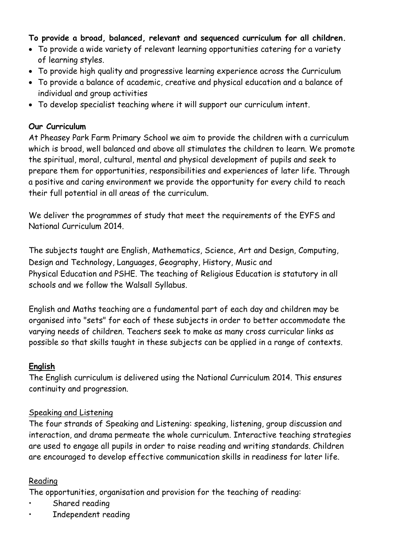### **To provide a broad, balanced, relevant and sequenced curriculum for all children.**

- To provide a wide variety of relevant learning opportunities catering for a variety of learning styles.
- To provide high quality and progressive learning experience across the Curriculum
- To provide a balance of academic, creative and physical education and a balance of individual and group activities
- To develop specialist teaching where it will support our curriculum intent.

#### **Our Curriculum**

At Pheasey Park Farm Primary School we aim to provide the children with a curriculum which is broad, well balanced and above all stimulates the children to learn. We promote the spiritual, moral, cultural, mental and physical development of pupils and seek to prepare them for opportunities, responsibilities and experiences of later life. Through a positive and caring environment we provide the opportunity for every child to reach their full potential in all areas of the curriculum.

We deliver the programmes of study that meet the requirements of the EYFS and National Curriculum 2014.

The subjects taught are English, Mathematics, Science, Art and Design, Computing, Design and Technology, Languages, Geography, History, Music and Physical Education and PSHE. The teaching of Religious Education is statutory in all schools and we follow the Walsall Syllabus.

English and Maths teaching are a fundamental part of each day and children may be organised into "sets" for each of these subjects in order to better accommodate the varying needs of children. Teachers seek to make as many cross curricular links as possible so that skills taught in these subjects can be applied in a range of contexts.

#### **English**

The English curriculum is delivered using the National Curriculum 2014. This ensures continuity and progression.

#### Speaking and Listening

The four strands of Speaking and Listening: speaking, listening, group discussion and interaction, and drama permeate the whole curriculum. Interactive teaching strategies are used to engage all pupils in order to raise reading and writing standards. Children are encouraged to develop effective communication skills in readiness for later life.

#### Reading

The opportunities, organisation and provision for the teaching of reading:

- Shared reading
- Independent reading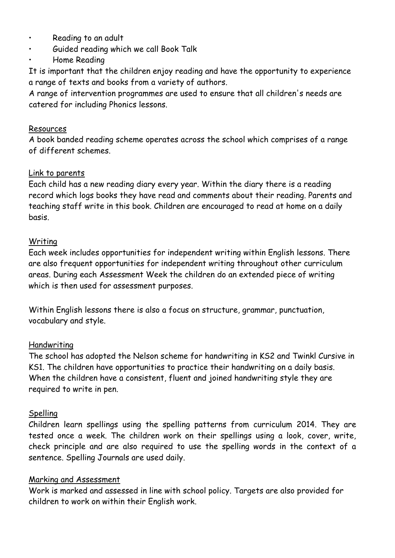- Reading to an adult
- Guided reading which we call Book Talk
- Home Reading

It is important that the children enjoy reading and have the opportunity to experience a range of texts and books from a variety of authors.

A range of intervention programmes are used to ensure that all children's needs are catered for including Phonics lessons.

#### Resources

A book banded reading scheme operates across the school which comprises of a range of different schemes.

#### Link to parents

Each child has a new reading diary every year. Within the diary there is a reading record which logs books they have read and comments about their reading. Parents and teaching staff write in this book. Children are encouraged to read at home on a daily basis.

#### Writing

Each week includes opportunities for independent writing within English lessons. There are also frequent opportunities for independent writing throughout other curriculum areas. During each Assessment Week the children do an extended piece of writing which is then used for assessment purposes.

Within English lessons there is also a focus on structure, grammar, punctuation, vocabulary and style.

#### Handwriting

The school has adopted the Nelson scheme for handwriting in KS2 and Twinkl Cursive in KS1. The children have opportunities to practice their handwriting on a daily basis. When the children have a consistent, fluent and joined handwriting style they are required to write in pen.

#### Spelling

Children learn spellings using the spelling patterns from curriculum 2014. They are tested once a week. The children work on their spellings using a look, cover, write, check principle and are also required to use the spelling words in the context of a sentence. Spelling Journals are used daily.

#### Marking and Assessment

Work is marked and assessed in line with school policy. Targets are also provided for children to work on within their English work.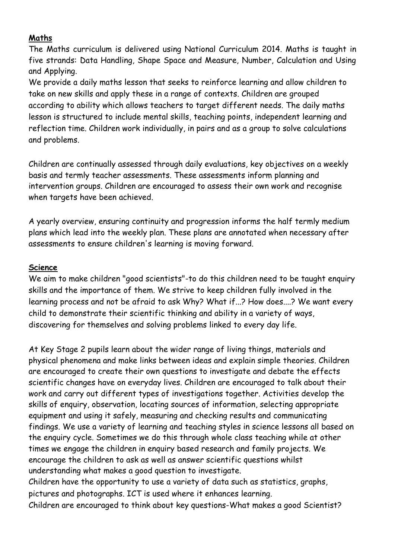#### **Maths**

The Maths curriculum is delivered using National Curriculum 2014. Maths is taught in five strands: Data Handling, Shape Space and Measure, Number, Calculation and Using and Applying.

We provide a daily maths lesson that seeks to reinforce learning and allow children to take on new skills and apply these in a range of contexts. Children are grouped according to ability which allows teachers to target different needs. The daily maths lesson is structured to include mental skills, teaching points, independent learning and reflection time. Children work individually, in pairs and as a group to solve calculations and problems.

Children are continually assessed through daily evaluations, key objectives on a weekly basis and termly teacher assessments. These assessments inform planning and intervention groups. Children are encouraged to assess their own work and recognise when targets have been achieved.

A yearly overview, ensuring continuity and progression informs the half termly medium plans which lead into the weekly plan. These plans are annotated when necessary after assessments to ensure children's learning is moving forward.

#### **Science**

We aim to make children "good scientists"-to do this children need to be taught enquiry skills and the importance of them. We strive to keep children fully involved in the learning process and not be afraid to ask Why? What if...? How does....? We want every child to demonstrate their scientific thinking and ability in a variety of ways, discovering for themselves and solving problems linked to every day life.

At Key Stage 2 pupils learn about the wider range of living things, materials and physical phenomena and make links between ideas and explain simple theories. Children are encouraged to create their own questions to investigate and debate the effects scientific changes have on everyday lives. Children are encouraged to talk about their work and carry out different types of investigations together. Activities develop the skills of enquiry, observation, locating sources of information, selecting appropriate equipment and using it safely, measuring and checking results and communicating findings. We use a variety of learning and teaching styles in science lessons all based on the enquiry cycle. Sometimes we do this through whole class teaching while at other times we engage the children in enquiry based research and family projects. We encourage the children to ask as well as answer scientific questions whilst understanding what makes a good question to investigate.

Children have the opportunity to use a variety of data such as statistics, graphs, pictures and photographs. ICT is used where it enhances learning.

Children are encouraged to think about key questions-What makes a good Scientist?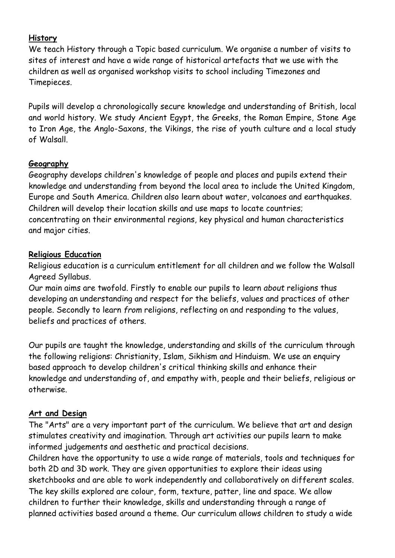#### **History**

We teach History through a Topic based curriculum. We organise a number of visits to sites of interest and have a wide range of historical artefacts that we use with the children as well as organised workshop visits to school including Timezones and Timepieces.

Pupils will develop a chronologically secure knowledge and understanding of British, local and world history. We study Ancient Egypt, the Greeks, the Roman Empire, Stone Age to Iron Age, the Anglo-Saxons, the Vikings, the rise of youth culture and a local study of Walsall.

#### **Geography**

Geography develops children's knowledge of people and places and pupils extend their knowledge and understanding from beyond the local area to include the United Kingdom, Europe and South America. Children also learn about water, volcanoes and earthquakes. Children will develop their location skills and use maps to locate countries; concentrating on their environmental regions, key physical and human characteristics and major cities.

#### **Religious Education**

Religious education is a curriculum entitlement for all children and we follow the Walsall Agreed Syllabus.

Our main aims are twofold. Firstly to enable our pupils to learn *about* religions thus developing an understanding and respect for the beliefs, values and practices of other people. Secondly to learn *from* religions, reflecting on and responding to the values, beliefs and practices of others.

Our pupils are taught the knowledge, understanding and skills of the curriculum through the following religions: Christianity, Islam, Sikhism and Hinduism. We use an enquiry based approach to develop children's critical thinking skills and enhance their knowledge and understanding of, and empathy with, people and their beliefs, religious or otherwise.

## **Art and Design**

The "Arts" are a very important part of the curriculum. We believe that art and design stimulates creativity and imagination. Through art activities our pupils learn to make informed judgements and aesthetic and practical decisions.

Children have the opportunity to use a wide range of materials, tools and techniques for both 2D and 3D work. They are given opportunities to explore their ideas using sketchbooks and are able to work independently and collaboratively on different scales. The key skills explored are colour, form, texture, patter, line and space. We allow children to further their knowledge, skills and understanding through a range of planned activities based around a theme. Our curriculum allows children to study a wide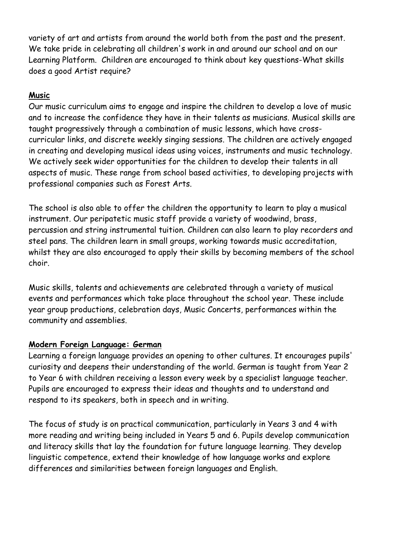variety of art and artists from around the world both from the past and the present. We take pride in celebrating all children's work in and around our school and on our Learning Platform. Children are encouraged to think about key questions-What skills does a good Artist require?

### **Music**

Our music curriculum aims to engage and inspire the children to develop a love of music and to increase the confidence they have in their talents as musicians. Musical skills are taught progressively through a combination of music lessons, which have crosscurricular links, and discrete weekly singing sessions. The children are actively engaged in creating and developing musical ideas using voices, instruments and music technology. We actively seek wider opportunities for the children to develop their talents in all aspects of music. These range from school based activities, to developing projects with professional companies such as Forest Arts.

The school is also able to offer the children the opportunity to learn to play a musical instrument. Our peripatetic music staff provide a variety of woodwind, brass, percussion and string instrumental tuition. Children can also learn to play recorders and steel pans. The children learn in small groups, working towards music accreditation, whilst they are also encouraged to apply their skills by becoming members of the school choir.

Music skills, talents and achievements are celebrated through a variety of musical events and performances which take place throughout the school year. These include year group productions, celebration days, Music Concerts, performances within the community and assemblies.

#### **Modern Foreign Language: German**

Learning a foreign language provides an opening to other cultures. It encourages pupils' curiosity and deepens their understanding of the world. German is taught from Year 2 to Year 6 with children receiving a lesson every week by a specialist language teacher. Pupils are encouraged to express their ideas and thoughts and to understand and respond to its speakers, both in speech and in writing.

The focus of study is on practical communication, particularly in Years 3 and 4 with more reading and writing being included in Years 5 and 6. Pupils develop communication and literacy skills that lay the foundation for future language learning. They develop linguistic competence, extend their knowledge of how language works and explore differences and similarities between foreign languages and English.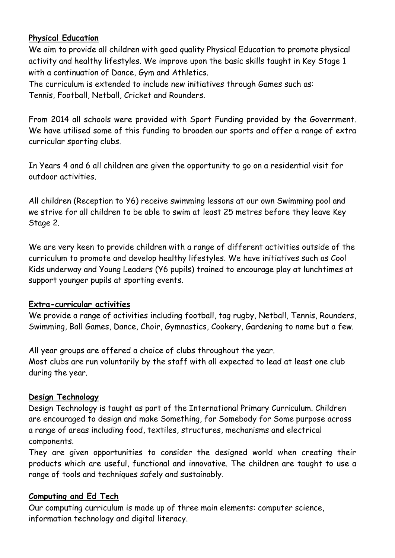### **Physical Education**

We aim to provide all children with good quality Physical Education to promote physical activity and healthy lifestyles. We improve upon the basic skills taught in Key Stage 1 with a continuation of Dance, Gym and Athletics.

The curriculum is extended to include new initiatives through Games such as: Tennis, Football, Netball, Cricket and Rounders.

From 2014 all schools were provided with Sport Funding provided by the Government. We have utilised some of this funding to broaden our sports and offer a range of extra curricular sporting clubs.

In Years 4 and 6 all children are given the opportunity to go on a residential visit for outdoor activities.

All children (Reception to Y6) receive swimming lessons at our own Swimming pool and we strive for all children to be able to swim at least 25 metres before they leave Key Stage 2.

We are very keen to provide children with a range of different activities outside of the curriculum to promote and develop healthy lifestyles. We have initiatives such as Cool Kids underway and Young Leaders (Y6 pupils) trained to encourage play at lunchtimes at support younger pupils at sporting events.

#### **Extra-curricular activities**

We provide a range of activities including football, tag rugby, Netball, Tennis, Rounders, Swimming, Ball Games, Dance, Choir, Gymnastics, Cookery, Gardening to name but a few.

All year groups are offered a choice of clubs throughout the year. Most clubs are run voluntarily by the staff with all expected to lead at least one club during the year.

## **Design Technology**

Design Technology is taught as part of the International Primary Curriculum. Children are encouraged to design and make Something, for Somebody for Some purpose across a range of areas including food, textiles, structures, mechanisms and electrical components.

They are given opportunities to consider the designed world when creating their products which are useful, functional and innovative. The children are taught to use a range of tools and techniques safely and sustainably.

#### **Computing and Ed Tech**

Our computing curriculum is made up of three main elements: computer science, information technology and digital literacy.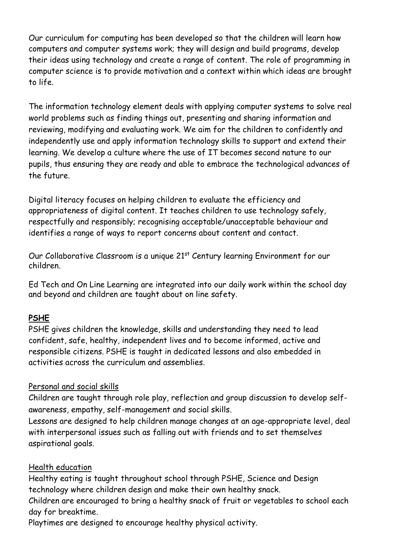Our curriculum for computing has been developed so that the children will learn how computers and computer systems work; they will design and build programs, develop their ideas using technology and create a range of content. The role of programming in computer science is to provide motivation and a context within which ideas are brought to life.

The information technology element deals with applying computer systems to solve real world problems such as finding things out, presenting and sharing information and reviewing, modifying and evaluating work. We aim for the children to confidently and independently use and apply information technology skills to support and extend their learning. We develop a culture where the use of IT becomes second nature to our pupils, thus ensuring they are ready and able to embrace the technological advances of the future.

Digital literacy focuses on helping children to evaluate the efficiency and appropriateness of digital content. It teaches children to use technology safely, respectfully and responsibly; recognising acceptable/unacceptable behaviour and identifies a range of ways to report concerns about content and contact.

Our Collaborative Classroom is a unique 21<sup>st</sup> Century learning Environment for our children.

Ed Tech and On Line Learning are integrated into our daily work within the school day and beyond and children are taught about on line safety.

## **PSHE**

PSHE gives children the knowledge, skills and understanding they need to lead confident, safe, healthy, independent lives and to become informed, active and responsible citizens. PSHE is taught in dedicated lessons and also embedded in activities across the curriculum and assemblies.

#### Personal and social skills

Children are taught through role play, reflection and group discussion to develop selfawareness, empathy, self-management and social skills.

Lessons are designed to help children manage changes at an age-appropriate level, deal with interpersonal issues such as falling out with friends and to set themselves aspirational goals.

#### Health education

Healthy eating is taught throughout school through PSHE, Science and Design technology where children design and make their own healthy snack.

Children are encouraged to bring a healthy snack of fruit or vegetables to school each day for breaktime.

Playtimes are designed to encourage healthy physical activity.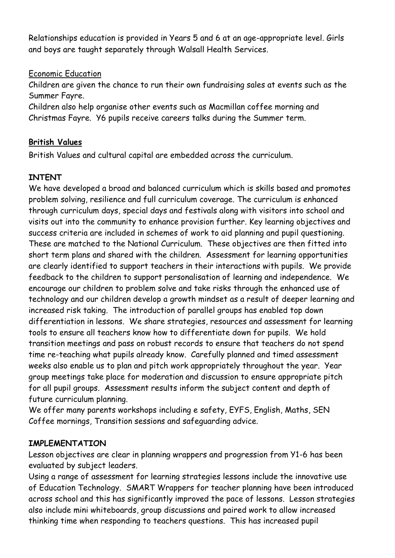Relationships education is provided in Years 5 and 6 at an age-appropriate level. Girls and boys are taught separately through Walsall Health Services.

#### Economic Education

Children are given the chance to run their own fundraising sales at events such as the Summer Fayre.

Children also help organise other events such as Macmillan coffee morning and Christmas Fayre. Y6 pupils receive careers talks during the Summer term.

## **British Values**

British Values and cultural capital are embedded across the curriculum.

## **INTENT**

We have developed a broad and balanced curriculum which is skills based and promotes problem solving, resilience and full curriculum coverage. The curriculum is enhanced through curriculum days, special days and festivals along with visitors into school and visits out into the community to enhance provision further. Key learning objectives and success criteria are included in schemes of work to aid planning and pupil questioning. These are matched to the National Curriculum. These objectives are then fitted into short term plans and shared with the children. Assessment for learning opportunities are clearly identified to support teachers in their interactions with pupils. We provide feedback to the children to support personalisation of learning and independence. We encourage our children to problem solve and take risks through the enhanced use of technology and our children develop a growth mindset as a result of deeper learning and increased risk taking. The introduction of parallel groups has enabled top down differentiation in lessons. We share strategies, resources and assessment for learning tools to ensure all teachers know how to differentiate down for pupils. We hold transition meetings and pass on robust records to ensure that teachers do not spend time re-teaching what pupils already know. Carefully planned and timed assessment weeks also enable us to plan and pitch work appropriately throughout the year. Year group meetings take place for moderation and discussion to ensure appropriate pitch for all pupil groups. Assessment results inform the subject content and depth of future curriculum planning.

We offer many parents workshops including e safety, EYFS, English, Maths, SEN Coffee mornings, Transition sessions and safeguarding advice.

#### **IMPLEMENTATION**

Lesson objectives are clear in planning wrappers and progression from Y1-6 has been evaluated by subject leaders.

Using a range of assessment for learning strategies lessons include the innovative use of Education Technology. SMART Wrappers for teacher planning have been introduced across school and this has significantly improved the pace of lessons. Lesson strategies also include mini whiteboards, group discussions and paired work to allow increased thinking time when responding to teachers questions. This has increased pupil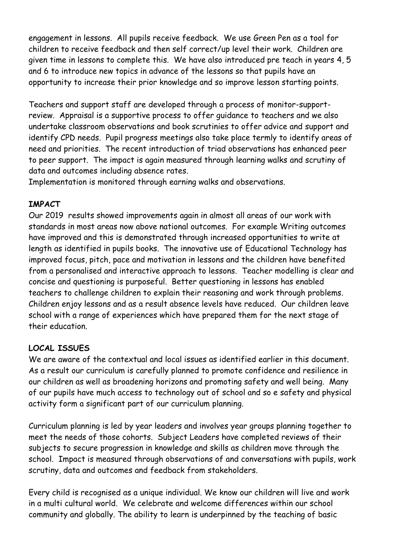engagement in lessons. All pupils receive feedback. We use Green Pen as a tool for children to receive feedback and then self correct/up level their work. Children are given time in lessons to complete this. We have also introduced pre teach in years 4, 5 and 6 to introduce new topics in advance of the lessons so that pupils have an opportunity to increase their prior knowledge and so improve lesson starting points.

Teachers and support staff are developed through a process of monitor-supportreview. Appraisal is a supportive process to offer guidance to teachers and we also undertake classroom observations and book scrutinies to offer advice and support and identify CPD needs. Pupil progress meetings also take place termly to identify areas of need and priorities. The recent introduction of triad observations has enhanced peer to peer support. The impact is again measured through learning walks and scrutiny of data and outcomes including absence rates.

Implementation is monitored through earning walks and observations.

#### **IMPACT**

Our 2019 results showed improvements again in almost all areas of our work with standards in most areas now above national outcomes. For example Writing outcomes have improved and this is demonstrated through increased opportunities to write at length as identified in pupils books. The innovative use of Educational Technology has improved focus, pitch, pace and motivation in lessons and the children have benefited from a personalised and interactive approach to lessons. Teacher modelling is clear and concise and questioning is purposeful. Better questioning in lessons has enabled teachers to challenge children to explain their reasoning and work through problems. Children enjoy lessons and as a result absence levels have reduced. Our children leave school with a range of experiences which have prepared them for the next stage of their education.

## **LOCAL ISSUES**

We are aware of the contextual and local issues as identified earlier in this document. As a result our curriculum is carefully planned to promote confidence and resilience in our children as well as broadening horizons and promoting safety and well being. Many of our pupils have much access to technology out of school and so e safety and physical activity form a significant part of our curriculum planning.

Curriculum planning is led by year leaders and involves year groups planning together to meet the needs of those cohorts. Subject Leaders have completed reviews of their subjects to secure progression in knowledge and skills as children move through the school. Impact is measured through observations of and conversations with pupils, work scrutiny, data and outcomes and feedback from stakeholders.

Every child is recognised as a unique individual. We know our children will live and work in a multi cultural world. We celebrate and welcome differences within our school community and globally. The ability to learn is underpinned by the teaching of basic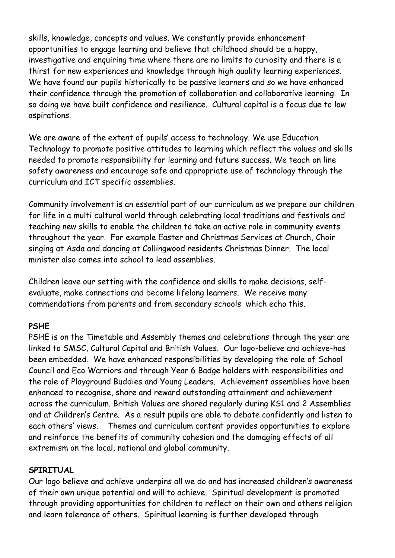skills, knowledge, concepts and values. We constantly provide enhancement opportunities to engage learning and believe that childhood should be a happy, investigative and enquiring time where there are no limits to curiosity and there is a thirst for new experiences and knowledge through high quality learning experiences. We have found our pupils historically to be passive learners and so we have enhanced their confidence through the promotion of collaboration and collaborative learning. In so doing we have built confidence and resilience. Cultural capital is a focus due to low aspirations.

We are aware of the extent of pupils' access to technology. We use Education Technology to promote positive attitudes to learning which reflect the values and skills needed to promote responsibility for learning and future success. We teach on line safety awareness and encourage safe and appropriate use of technology through the curriculum and ICT specific assemblies.

Community involvement is an essential part of our curriculum as we prepare our children for life in a multi cultural world through celebrating local traditions and festivals and teaching new skills to enable the children to take an active role in community events throughout the year. For example Easter and Christmas Services at Church, Choir singing at Asda and dancing at Collingwood residents Christmas Dinner. The local minister also comes into school to lead assemblies.

Children leave our setting with the confidence and skills to make decisions, selfevaluate, make connections and become lifelong learners. We receive many commendations from parents and from secondary schools which echo this.

#### **PSHE**

PSHE is on the Timetable and Assembly themes and celebrations through the year are linked to SMSC, Cultural Capital and British Values. Our logo-believe and achieve-has been embedded. We have enhanced responsibilities by developing the role of School Council and Eco Warriors and through Year 6 Badge holders with responsibilities and the role of Playground Buddies and Young Leaders. Achievement assemblies have been enhanced to recognise, share and reward outstanding attainment and achievement across the curriculum. British Values are shared regularly during KS1 and 2 Assemblies and at Children's Centre. As a result pupils are able to debate confidently and listen to each others' views. Themes and curriculum content provides opportunities to explore and reinforce the benefits of community cohesion and the damaging effects of all extremism on the local, national and global community.

#### **SPIRITUAL**

Our logo believe and achieve underpins all we do and has increased children's awareness of their own unique potential and will to achieve. Spiritual development is promoted through providing opportunities for children to reflect on their own and others religion and learn tolerance of others. Spiritual learning is further developed through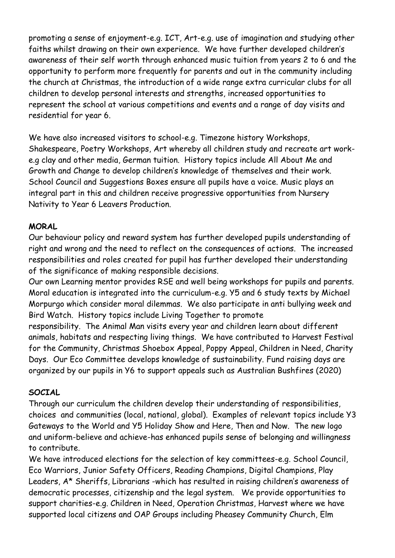promoting a sense of enjoyment-e.g. ICT, Art-e.g. use of imagination and studying other faiths whilst drawing on their own experience. We have further developed children's awareness of their self worth through enhanced music tuition from years 2 to 6 and the opportunity to perform more frequently for parents and out in the community including the church at Christmas, the introduction of a wide range extra curricular clubs for all children to develop personal interests and strengths, increased opportunities to represent the school at various competitions and events and a range of day visits and residential for year 6.

We have also increased visitors to school-e.g. Timezone history Workshops, Shakespeare, Poetry Workshops, Art whereby all children study and recreate art worke.g clay and other media, German tuition. History topics include All About Me and Growth and Change to develop children's knowledge of themselves and their work. School Council and Suggestions Boxes ensure all pupils have a voice. Music plays an integral part in this and children receive progressive opportunities from Nursery Nativity to Year 6 Leavers Production.

#### **MORAL**

Our behaviour policy and reward system has further developed pupils understanding of right and wrong and the need to reflect on the consequences of actions. The increased responsibilities and roles created for pupil has further developed their understanding of the significance of making responsible decisions.

Our own Learning mentor provides RSE and well being workshops for pupils and parents. Moral education is integrated into the curriculum-e.g. Y5 and 6 study texts by Michael Morpurgo which consider moral dilemmas. We also participate in anti bullying week and Bird Watch. History topics include Living Together to promote

responsibility. The Animal Man visits every year and children learn about different animals, habitats and respecting living things. We have contributed to Harvest Festival for the Community, Christmas Shoebox Appeal, Poppy Appeal, Children in Need, Charity Days. Our Eco Committee develops knowledge of sustainability. Fund raising days are organized by our pupils in Y6 to support appeals such as Australian Bushfires (2020)

## **SOCIAL**

Through our curriculum the children develop their understanding of responsibilities, choices and communities (local, national, global). Examples of relevant topics include Y3 Gateways to the World and Y5 Holiday Show and Here, Then and Now. The new logo and uniform-believe and achieve-has enhanced pupils sense of belonging and willingness to contribute.

We have introduced elections for the selection of key committees-e.g. School Council, Eco Warriors, Junior Safety Officers, Reading Champions, Digital Champions, Play Leaders, A\* Sheriffs, Librarians -which has resulted in raising children's awareness of democratic processes, citizenship and the legal system. We provide opportunities to support charities-e.g. Children in Need, Operation Christmas, Harvest where we have supported local citizens and OAP Groups including Pheasey Community Church, Elm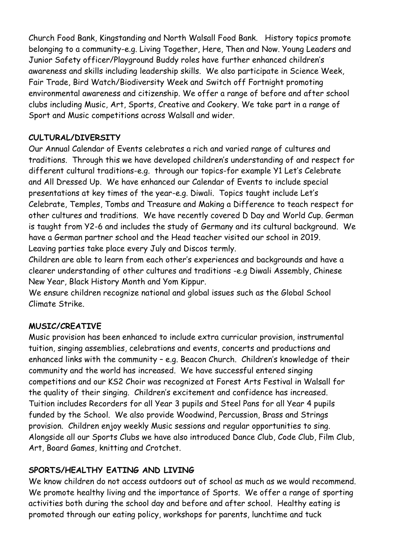Church Food Bank, Kingstanding and North Walsall Food Bank. History topics promote belonging to a community-e.g. Living Together, Here, Then and Now. Young Leaders and Junior Safety officer/Playground Buddy roles have further enhanced children's awareness and skills including leadership skills. We also participate in Science Week, Fair Trade, Bird Watch/Biodiversity Week and Switch off Fortnight promoting environmental awareness and citizenship. We offer a range of before and after school clubs including Music, Art, Sports, Creative and Cookery. We take part in a range of Sport and Music competitions across Walsall and wider.

### **CULTURAL/DIVERSITY**

Our Annual Calendar of Events celebrates a rich and varied range of cultures and traditions. Through this we have developed children's understanding of and respect for different cultural traditions-e.g. through our topics-for example Y1 Let's Celebrate and All Dressed Up. We have enhanced our Calendar of Events to include special presentations at key times of the year-e.g. Diwali. Topics taught include Let's Celebrate, Temples, Tombs and Treasure and Making a Difference to teach respect for other cultures and traditions. We have recently covered D Day and World Cup. German is taught from Y2-6 and includes the study of Germany and its cultural background. We have a German partner school and the Head teacher visited our school in 2019. Leaving parties take place every July and Discos termly.

Children are able to learn from each other's experiences and backgrounds and have a clearer understanding of other cultures and traditions -e.g Diwali Assembly, Chinese New Year, Black History Month and Yom Kippur.

We ensure children recognize national and global issues such as the Global School Climate Strike.

## **MUSIC/CREATIVE**

Music provision has been enhanced to include extra curricular provision, instrumental tuition, singing assemblies, celebrations and events, concerts and productions and enhanced links with the community – e.g. Beacon Church. Children's knowledge of their community and the world has increased. We have successful entered singing competitions and our KS2 Choir was recognized at Forest Arts Festival in Walsall for the quality of their singing. Children's excitement and confidence has increased. Tuition includes Recorders for all Year 3 pupils and Steel Pans for all Year 4 pupils funded by the School. We also provide Woodwind, Percussion, Brass and Strings provision. Children enjoy weekly Music sessions and regular opportunities to sing. Alongside all our Sports Clubs we have also introduced Dance Club, Code Club, Film Club, Art, Board Games, knitting and Crotchet.

## **SPORTS/HEALTHY EATING AND LIVING**

We know children do not access outdoors out of school as much as we would recommend. We promote healthy living and the importance of Sports. We offer a range of sporting activities both during the school day and before and after school. Healthy eating is promoted through our eating policy, workshops for parents, lunchtime and tuck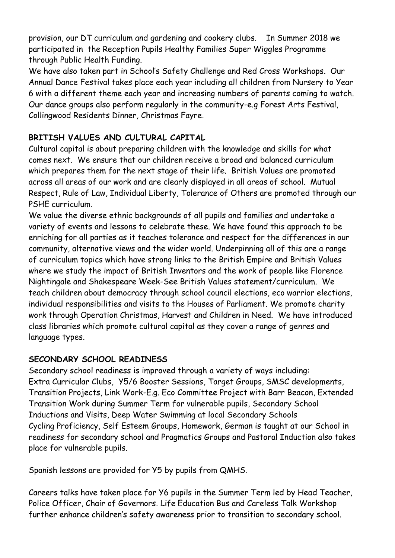provision, our DT curriculum and gardening and cookery clubs. In Summer 2018 we participated in the Reception Pupils Healthy Families Super Wiggles Programme through Public Health Funding.

We have also taken part in School's Safety Challenge and Red Cross Workshops. Our Annual Dance Festival takes place each year including all children from Nursery to Year 6 with a different theme each year and increasing numbers of parents coming to watch. Our dance groups also perform regularly in the community-e.g Forest Arts Festival, Collingwood Residents Dinner, Christmas Fayre.

## **BRITISH VALUES AND CULTURAL CAPITAL**

Cultural capital is about preparing children with the knowledge and skills for what comes next. We ensure that our children receive a broad and balanced curriculum which prepares them for the next stage of their life. British Values are promoted across all areas of our work and are clearly displayed in all areas of school. Mutual Respect, Rule of Law, Individual Liberty, Tolerance of Others are promoted through our PSHE curriculum.

We value the diverse ethnic backgrounds of all pupils and families and undertake a variety of events and lessons to celebrate these. We have found this approach to be enriching for all parties as it teaches tolerance and respect for the differences in our community, alternative views and the wider world. Underpinning all of this are a range of curriculum topics which have strong links to the British Empire and British Values where we study the impact of British Inventors and the work of people like Florence Nightingale and Shakespeare Week-See British Values statement/curriculum. We teach children about democracy through school council elections, eco warrior elections, individual responsibilities and visits to the Houses of Parliament. We promote charity work through Operation Christmas, Harvest and Children in Need. We have introduced class libraries which promote cultural capital as they cover a range of genres and language types.

## **SECONDARY SCHOOL READINESS**

Secondary school readiness is improved through a variety of ways including: Extra Curricular Clubs, Y5/6 Booster Sessions, Target Groups, SMSC developments, Transition Projects, Link Work-E.g. Eco Committee Project with Barr Beacon, Extended Transition Work during Summer Term for vulnerable pupils, Secondary School Inductions and Visits, Deep Water Swimming at local Secondary Schools Cycling Proficiency, Self Esteem Groups, Homework, German is taught at our School in readiness for secondary school and Pragmatics Groups and Pastoral Induction also takes place for vulnerable pupils.

Spanish lessons are provided for Y5 by pupils from QMHS.

Careers talks have taken place for Y6 pupils in the Summer Term led by Head Teacher, Police Officer, Chair of Governors. Life Education Bus and Careless Talk Workshop further enhance children's safety awareness prior to transition to secondary school.